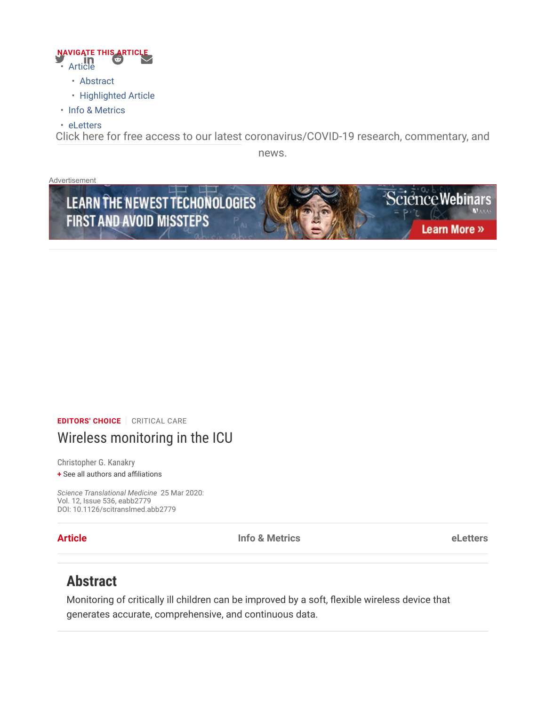

- Abstract
- Highlighted Article
- Info & Metrics
- eLetters

Click here for free access to our latest coronavirus/COVID-19 research, commentary, and

news.

Advertisement



# EDITORS' CHOICE | CRITICAL CARE Wireless monitoring in the ICU

Christopher G. Kanakry

+ See all authors and affiliations

Science Translational Medicine 25 Mar 2020: Vol. 12, Issue 536, eabb2779 DOI: 10.1126/scitranslmed.abb2779

**Article Example 2 Info & Metrics Contract Contract Contract Contract Contract Contract Contract Contract Contract Contract Contract Contract Contract Contract Contract Contract Contract Contract Contract Contract Co** 

# Abstract

Monitoring of critically ill children can be improved by a soft, flexible wireless device that generates accurate, comprehensive, and continuous data.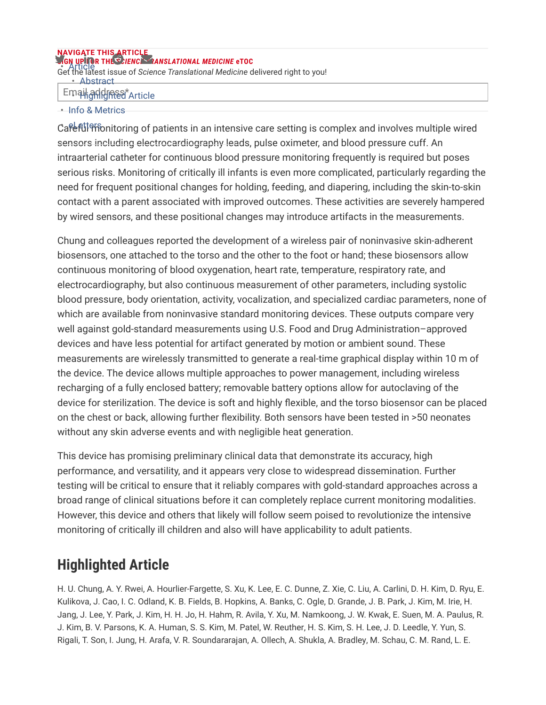### **SIGN UP FOR THE SCIENCE TRANSLATIONAL MEDICINE eTOC** NAVIGATE THIS ARTICLE

**FOR THE CRIME CONSTRUCTION CONSTRUCTS**<br>Get the latest issue of Science Translational Medicine delivered right to you! • Abstract

# Email addinest Article

### • Info & Metrics

Care ful <sup>o</sup>f intering of patients in an intensive care setting is complex and involves multiple wired sensors including electrocardiography leads, pulse oximeter, and blood pressure cuff. An intraarterial catheter for continuous blood pressure monitoring frequently is required but poses serious risks. Monitoring of critically ill infants is even more complicated, particularly regarding the need for frequent positional changes for holding, feeding, and diapering, including the skin-to-skin contact with a parent associated with improved outcomes. These activities are severely hampered by wired sensors, and these positional changes may introduce artifacts in the measurements.

Chung and colleagues reported the development of a wireless pair of noninvasive skin-adherent biosensors, one attached to the torso and the other to the foot or hand; these biosensors allow continuous monitoring of blood oxygenation, heart rate, temperature, respiratory rate, and electrocardiography, but also continuous measurement of other parameters, including systolic blood pressure, body orientation, activity, vocalization, and specialized cardiac parameters, none of which are available from noninvasive standard monitoring devices. These outputs compare very well against gold-standard measurements using U.S. Food and Drug Administration–approved devices and have less potential for artifact generated by motion or ambient sound. These measurements are wirelessly transmitted to generate a real-time graphical display within 10 m of the device. The device allows multiple approaches to power management, including wireless recharging of a fully enclosed battery; removable battery options allow for autoclaving of the device for sterilization. The device is soft and highly flexible, and the torso biosensor can be placed on the chest or back, allowing further flexibility. Both sensors have been tested in >50 neonates without any skin adverse events and with negligible heat generation.

This device has promising preliminary clinical data that demonstrate its accuracy, high performance, and versatility, and it appears very close to widespread dissemination. Further testing will be critical to ensure that it reliably compares with gold-standard approaches across a broad range of clinical situations before it can completely replace current monitoring modalities. However, this device and others that likely will follow seem poised to revolutionize the intensive monitoring of critically ill children and also will have applicability to adult patients.

# Highlighted Article

H. U. Chung, A. Y. Rwei, A. Hourlier-Fargette, S. Xu, K. Lee, E. C. Dunne, Z. Xie, C. Liu, A. Carlini, D. H. Kim, D. Ryu, E. Kulikova, J. Cao, I. C. Odland, K. B. Fields, B. Hopkins, A. Banks, C. Ogle, D. Grande, J. B. Park, J. Kim, M. Irie, H. Jang, J. Lee, Y. Park, J. Kim, H. H. Jo, H. Hahm, R. Avila, Y. Xu, M. Namkoong, J. W. Kwak, E. Suen, M. A. Paulus, R. J. Kim, B. V. Parsons, K. A. Human, S. S. Kim, M. Patel, W. Reuther, H. S. Kim, S. H. Lee, J. D. Leedle, Y. Yun, S. Rigali, T. Son, I. Jung, H. Arafa, V. R. Soundararajan, A. Ollech, A. Shukla, A. Bradley, M. Schau, C. M. Rand, L. E.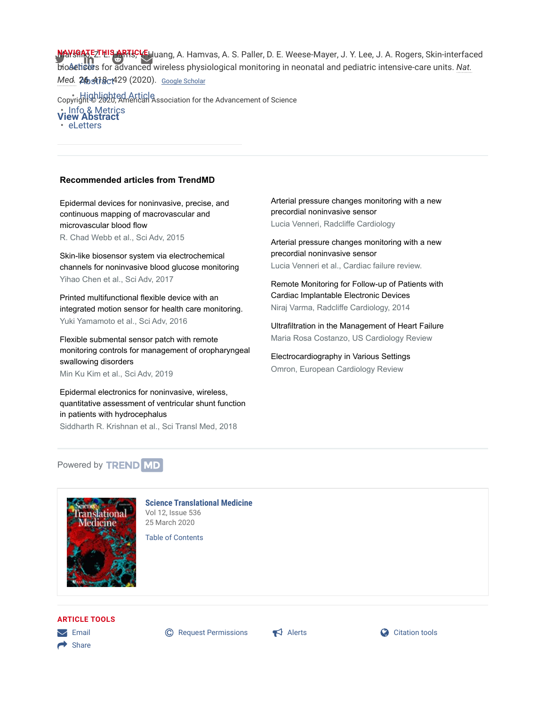NAYISATEZTHIS ARTICLEHuang, A. Hamvas, A. S. Paller, D. E. Weese-Mayer, J. Y. Lee, J. A. Rogers, Skin-interfaced biosetiscis for advanced wireless physiological monitoring in neonatal and pediatric intensive-care units. Nat.

<u>Med</u>. 26, 418c1429 (2020). Google Scholar

• Highlighted Article<br>Copyright © 2020, American Association for the Advancement of Science info & Metrics<br>**View Abstract eLetters** 

#### Recommended articles from TrendMD

Epidermal devices for noninvasive, precise, and continuous mapping of macrovascular and microvascular blood flow R. Chad Webb et al., Sci Adv, 2015

Skin-like biosensor system via electrochemical channels for noninvasive blood glucose monitoring Yihao Chen et al., Sci Adv, 2017

Printed multifunctional flexible device with an integrated motion sensor for health care monitoring. Yuki Yamamoto et al., Sci Adv, 2016

Flexible submental sensor patch with remote monitoring controls for management of oropharyngeal swallowing disorders

Min Ku Kim et al., Sci Adv, 2019

Epidermal electronics for noninvasive, wireless, quantitative assessment of ventricular shunt function in patients with hydrocephalus Siddharth R. Krishnan et al., Sci Transl Med, 2018

Arterial pressure changes monitoring with a new precordial noninvasive sensor

Lucia Venneri, Radcliffe Cardiology

Arterial pressure changes monitoring with a new precordial noninvasive sensor Lucia Venneri et al., Cardiac failure review.

Remote Monitoring for Follow-up of Patients with Cardiac Implantable Electronic Devices Niraj Varma, Radcliffe Cardiology, 2014

Ultrafiltration in the Management of Heart Failure Maria Rosa Costanzo, US Cardiology Review

Electrocardiography in Various Settings Omron, European Cardiology Review

#### Powered by **TREND** MD



Science Translational Medicine Vol 12, Issue 536 25 March 2020

Table of Contents

#### ARTICLE TOOLS

 $\rightarrow$  Share

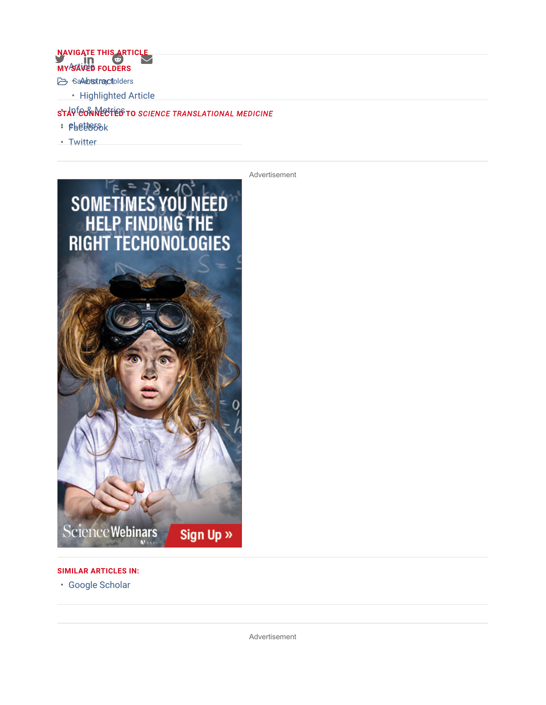# **MY SAVED FOLDERS** NAVIGATE THIS ARTICLE

- SaAdorstractolders
- Highlighted Article

### sta<sup>rf</sup>@onNected\$to science translational medicine

- Facebook eLetters
- Twitter



#### SIMILAR ARTICLES IN:

• Google Scholar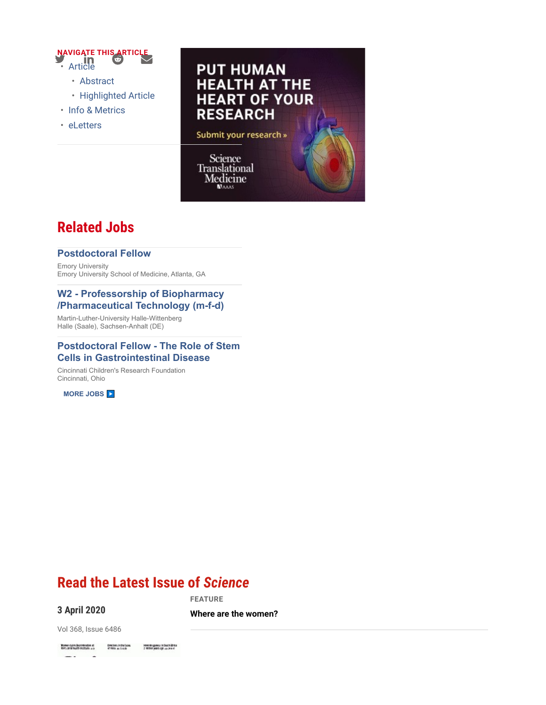

- Abstract
- Highlighted Article
- Info & Metrics
- eLetters



# Related Jobs

#### Postdoctoral Fellow

Emory University Emory University School of Medicine, Atlanta, GA

#### W2 - Professorship of Biopharmacy /Pharmaceutical Technology (m-f-d)

Martin-Luther-University Halle-Wittenberg Halle (Saale), Sachsen-Anhalt (DE)

#### Postdoctoral Fellow - The Role of Stem Cells in Gastrointestinal Disease

Cincinnati Children's Research Foundation Cincinnati, Ohio

MORE JOBS

# Read the Latest Issue of Science

### 3 April 2020

FEATURE

Where are the women?

Vol 368, Issue 6486

**Women claim clear interesting at any commitment of the first and the first and the first and the first and commitment** Heminingsmas In South Africa<br>2 Million you'll Age up Jone 4 22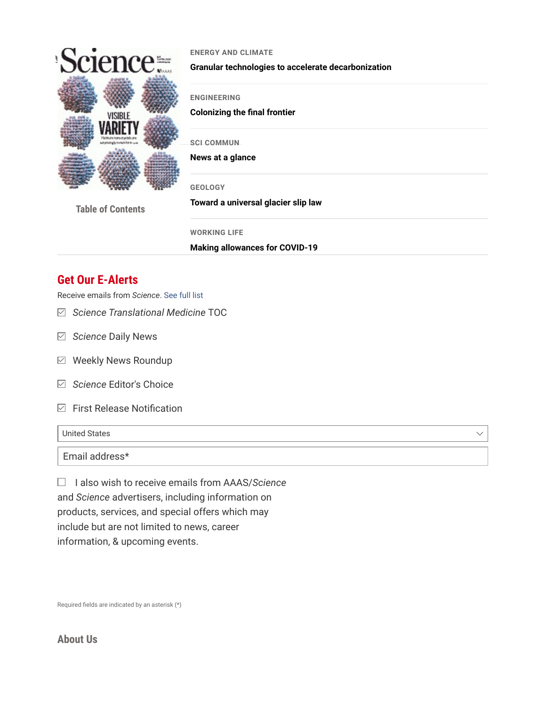

#### ENERGY AND CLIMATE

Granular technologies to accelerate decarbonization

ENGINEERING

Colonizing the final frontier

**SCI COMMUN** 

News at a glance

GEOLOGY

Table of Contents

Toward a universal glacier slip law

WORKING LIFE

Making allowances for COVID-19

# Get Our E-Alerts

Receive emails from Science. See full list

- $\boxdot$  Science Translational Medicine TOC
- $\boxdot$  Science Daily News
- $\boxdot$  Weekly News Roundup
- $\boxdot$  Science Editor's Choice
- $\boxdot$  First Release Notification

United States

Email address\*

 $\Box$  I also wish to receive emails from AAAS/Science and Science advertisers, including information on products, services, and special offers which may include but are not limited to news, career information, & upcoming events.

Required fields are indicated by an asterisk (\*)

### About Us